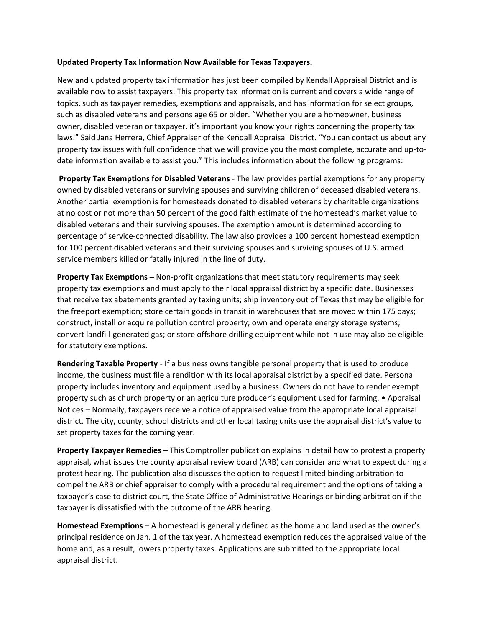## **Updated Property Tax Information Now Available for Texas Taxpayers.**

New and updated property tax information has just been compiled by Kendall Appraisal District and is available now to assist taxpayers. This property tax information is current and covers a wide range of topics, such as taxpayer remedies, exemptions and appraisals, and has information for select groups, such as disabled veterans and persons age 65 or older. "Whether you are a homeowner, business owner, disabled veteran or taxpayer, it's important you know your rights concerning the property tax laws." Said Jana Herrera, Chief Appraiser of the Kendall Appraisal District. "You can contact us about any property tax issues with full confidence that we will provide you the most complete, accurate and up-todate information available to assist you." This includes information about the following programs:

**Property Tax Exemptions for Disabled Veterans** - The law provides partial exemptions for any property owned by disabled veterans or surviving spouses and surviving children of deceased disabled veterans. Another partial exemption is for homesteads donated to disabled veterans by charitable organizations at no cost or not more than 50 percent of the good faith estimate of the homestead's market value to disabled veterans and their surviving spouses. The exemption amount is determined according to percentage of service-connected disability. The law also provides a 100 percent homestead exemption for 100 percent disabled veterans and their surviving spouses and surviving spouses of U.S. armed service members killed or fatally injured in the line of duty.

**Property Tax Exemptions** – Non-profit organizations that meet statutory requirements may seek property tax exemptions and must apply to their local appraisal district by a specific date. Businesses that receive tax abatements granted by taxing units; ship inventory out of Texas that may be eligible for the freeport exemption; store certain goods in transit in warehouses that are moved within 175 days; construct, install or acquire pollution control property; own and operate energy storage systems; convert landfill-generated gas; or store offshore drilling equipment while not in use may also be eligible for statutory exemptions.

**Rendering Taxable Property** - If a business owns tangible personal property that is used to produce income, the business must file a rendition with its local appraisal district by a specified date. Personal property includes inventory and equipment used by a business. Owners do not have to render exempt property such as church property or an agriculture producer's equipment used for farming. • Appraisal Notices – Normally, taxpayers receive a notice of appraised value from the appropriate local appraisal district. The city, county, school districts and other local taxing units use the appraisal district's value to set property taxes for the coming year.

**Property Taxpayer Remedies** – This Comptroller publication explains in detail how to protest a property appraisal, what issues the county appraisal review board (ARB) can consider and what to expect during a protest hearing. The publication also discusses the option to request limited binding arbitration to compel the ARB or chief appraiser to comply with a procedural requirement and the options of taking a taxpayer's case to district court, the State Office of Administrative Hearings or binding arbitration if the taxpayer is dissatisfied with the outcome of the ARB hearing.

**Homestead Exemptions** – A homestead is generally defined as the home and land used as the owner's principal residence on Jan. 1 of the tax year. A homestead exemption reduces the appraised value of the home and, as a result, lowers property taxes. Applications are submitted to the appropriate local appraisal district.